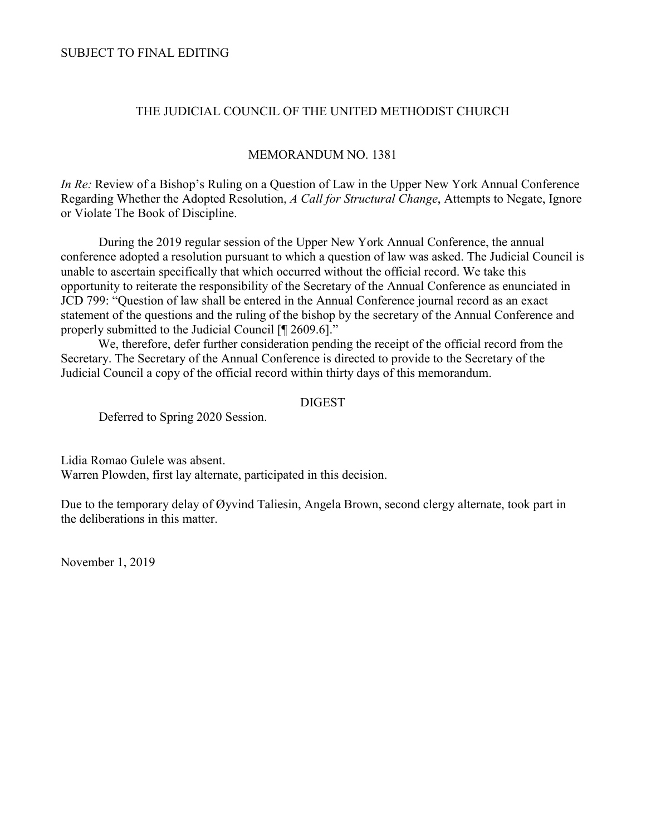SUBJECT TO FINAL EDITING

#### THE JUDICIAL COUNCIL OF THE UNITED METHODIST CHURCH

#### MEMORANDUM NO. 1381

*In Re:* Review of a Bishop's Ruling on a Question of Law in the Upper New York Annual Conference Regarding Whether the Adopted Resolution, *A Call for Structural Change*, Attempts to Negate, Ignore or Violate The Book of Discipline.

During the 2019 regular session of the Upper New York Annual Conference, the annual conference adopted a resolution pursuant to which a question of law was asked. The Judicial Council is unable to ascertain specifically that which occurred without the official record. We take this opportunity to reiterate the responsibility of the Secretary of the Annual Conference as enunciated in JCD 799: "Question of law shall be entered in the Annual Conference journal record as an exact statement of the questions and the ruling of the bishop by the secretary of the Annual Conference and properly submitted to the Judicial Council [¶ 2609.6]."

We, therefore, defer further consideration pending the receipt of the official record from the Secretary. The Secretary of the Annual Conference is directed to provide to the Secretary of the Judicial Council a copy of the official record within thirty days of this memorandum.

#### **DIGEST**

Deferred to Spring 2020 Session.

Lidia Romao Gulele was absent. Warren Plowden, first lay alternate, participated in this decision.

Due to the temporary delay of Øyvind Taliesin, Angela Brown, second clergy alternate, took part in the deliberations in this matter.

November 1, 2019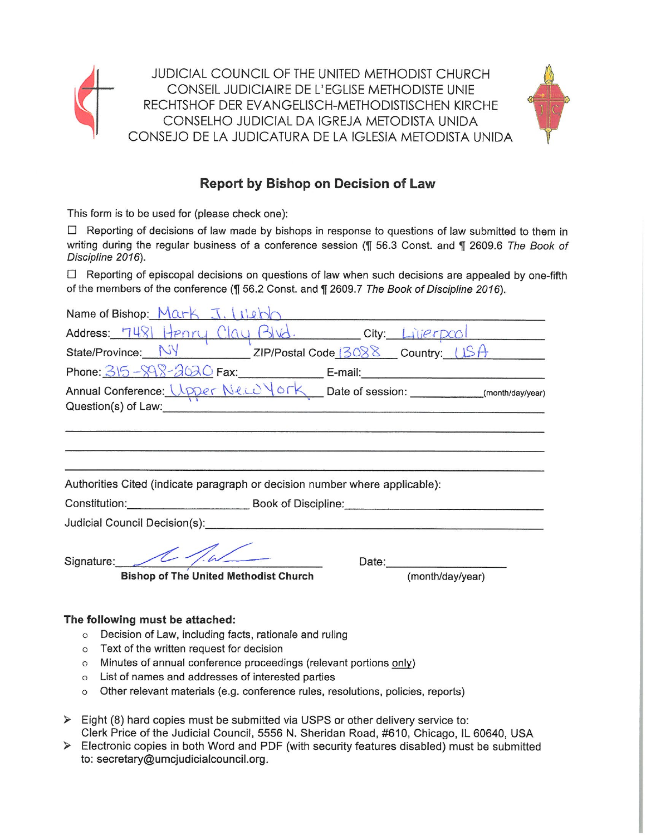

JUDICIAL COUNCIL OF THE UNITED METHODIST CHURCH CONSEIL JUDICIAIRE DE L'EGLISE METHODISTE UNIE RECHTSHOF DER EVANGELISCH-METHODISTISCHEN KIRCHE CONSELHO JUDICIAL DA IGREJA METODISTA UNIDA CONSEJO DE LA JUDICATURA DE LA IGLESIA METODISTA UNIDA



## Report by Bishop on Decision of Law

This form is to be used for (please check one):

□ Reporting of decisions of law made by bishops in response to questions of law submitted to them in writing during the regular business of a conference session (¶ 56.3 Const. and ¶ 2609.6 The Book of Discipline 2016).

 $\Box$  Reporting of episcopal decisions on questions of law when such decisions are appealed by one-fifth of the members of the conference (¶ 56.2 Const. and ¶ 2609.7 The Book of Discipline 2016).

| Name of Bishop: $Mark J. (the b)$                                                                                                                                                                                              |
|--------------------------------------------------------------------------------------------------------------------------------------------------------------------------------------------------------------------------------|
| Address: 7481 Henry Clay Blvd. City: Liverpool                                                                                                                                                                                 |
| State/Province: NY ZIP/Postal Code 3088 Country: USA                                                                                                                                                                           |
|                                                                                                                                                                                                                                |
|                                                                                                                                                                                                                                |
| Question(s) of Law: New York Change and Change and Change and Change and Change and Change and Change and Change and Change and Change and Change and Change and Change and Change and Change and Change and Change and Change |
|                                                                                                                                                                                                                                |
|                                                                                                                                                                                                                                |
| Authorities Cited (indicate paragraph or decision number where applicable):                                                                                                                                                    |
|                                                                                                                                                                                                                                |
| Judicial Council Decision(s): Call Council Decision (s): Call Council Decision (s):                                                                                                                                            |
| Signature: 11<br>Date: <b>Date:</b>                                                                                                                                                                                            |
| <b>Bishop of The United Methodist Church</b><br>(month/day/year)                                                                                                                                                               |
|                                                                                                                                                                                                                                |

#### The following must be attached:

- o Decision of Law, including facts, rationale and ruling
- o Text of the written request for decision
- o Minutes of annual conference proceedings (relevant portions only)
- o List of names and addresses of interested parties
- o Other relevant materials (e.g. conference rules, resolutions, policies, reports)
- $\triangleright$  Eight (8) hard copies must be submitted via USPS or other delivery service to: Clerk Price of the Judicial Council, 5556 N. Sheridan Road, #610, Chicago, IL 60640, USA
- $\triangleright$  Electronic copies in both Word and PDF (with security features disabled) must be submitted to: secretary@umcjudicialcouncil.org.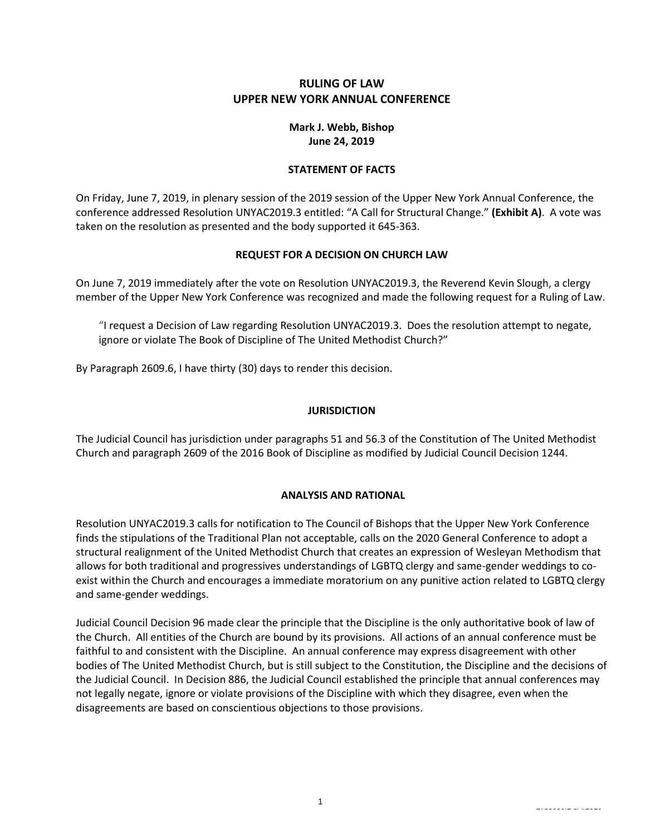#### **RULING OF LAW UPPER NEW YORK ANNUAL CONFERENCE**

#### **Mark J. Webb, Bishop June 24, 2019**

#### **STATEMENT OF FACTS**

On Friday, June 7, 2019, in plenary session of the 2019 session of the Upper New York Annual Conference, the conference addressed Resolution UNYAC2019.3 entitled: "A Call for Structural Change." **(Exhibit A)**. A vote was taken on the resolution as presented and the body supported it 645-363.

#### **REQUEST FOR A DECISION ON CHURCH LAW**

On June 7, 2019 immediately after the vote on Resolution UNYAC2019.3, the Reverend Kevin Slough, a clergy member of the Upper New York Conference was recognized and made the following request for a Ruling of Law.

"I request a Decision of Law regarding Resolution UNYAC2019.3. Does the resolution attempt to negate, ignore or violate The Book of Discipline of The United Methodist Church?"

By Paragraph 2609.6, I have thirty (30) days to render this decision.

#### **JURISDICTION**

The Judicial Council has jurisdiction under paragraphs 51 and 56.3 of the Constitution of The United Methodist Church and paragraph 2609 of the 2016 Book of Discipline as modified by Judicial Council Decision 1244.

#### **ANALYSIS AND RATIONAL**

Resolution UNYAC2019.3 calls for notification to The Council of Bishops that the Upper New York Conference finds the stipulations of the Traditional Plan not acceptable, calls on the 2020 General Conference to adopt a structural realignment of the United Methodist Church that creates an expression of Wesleyan Methodism that allows for both traditional and progressives understandings of LGBTQ clergy and same-gender weddings to coexist within the Church and encourages a immediate moratorium on any punitive action related to LGBTQ clergy and same-gender weddings.

Judicial Council Decision 96 made clear the principle that the Discipline is the only authoritative book of law of the Church. All entities of the Church are bound by its provisions. All actions of an annual conference must be faithful to and consistent with the Discipline. An annual conference may express disagreement with other bodies of The United Methodist Church, but is still subject to the Constitution, the Discipline and the decisions of the Judicial Council. In Decision 886, the Judicial Council established the principle that annual conferences may not legally negate, ignore or violate provisions of the Discipline with which they disagree, even when the disagreements are based on conscientious objections to those provisions.

2735096.1 8/4/2016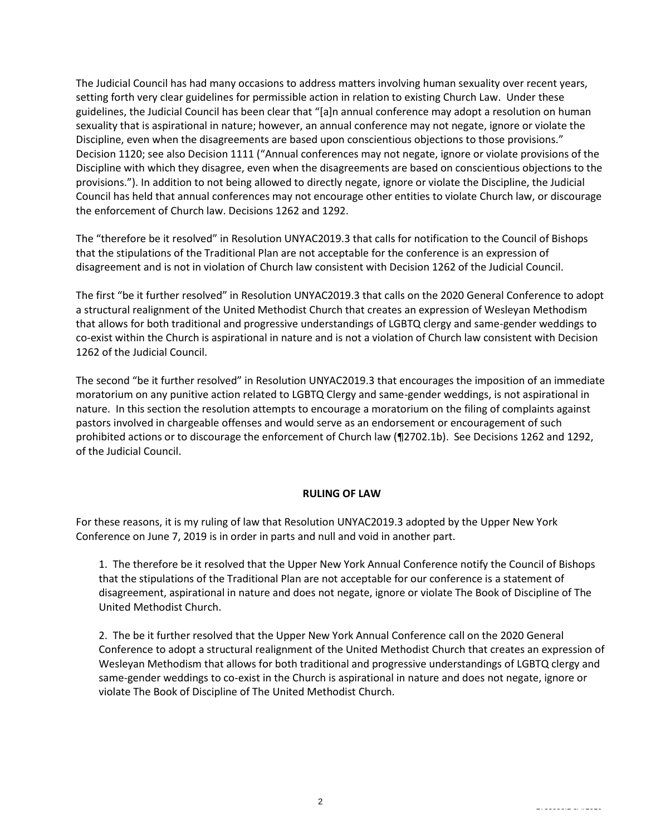The Judicial Council has had many occasions to address matters involving human sexuality over recent years, setting forth very clear guidelines for permissible action in relation to existing Church Law. Under these guidelines, the Judicial Council has been clear that "[a]n annual conference may adopt a resolution on human sexuality that is aspirational in nature; however, an annual conference may not negate, ignore or violate the Discipline, even when the disagreements are based upon conscientious objections to those provisions." Decision 1120; see also Decision 1111 ("Annual conferences may not negate, ignore or violate provisions of the Discipline with which they disagree, even when the disagreements are based on conscientious objections to the provisions."). In addition to not being allowed to directly negate, ignore or violate the Discipline, the Judicial Council has held that annual conferences may not encourage other entities to violate Church law, or discourage the enforcement of Church law. Decisions 1262 and 1292.

The "therefore be it resolved" in Resolution UNYAC2019.3 that calls for notification to the Council of Bishops that the stipulations of the Traditional Plan are not acceptable for the conference is an expression of disagreement and is not in violation of Church law consistent with Decision 1262 of the Judicial Council.

The first "be it further resolved" in Resolution UNYAC2019.3 that calls on the 2020 General Conference to adopt a structural realignment of the United Methodist Church that creates an expression of Wesleyan Methodism that allows for both traditional and progressive understandings of LGBTQ clergy and same-gender weddings to co-exist within the Church is aspirational in nature and is not a violation of Church law consistent with Decision 1262 of the Judicial Council.

The second "be it further resolved" in Resolution UNYAC2019.3 that encourages the imposition of an immediate moratorium on any punitive action related to LGBTQ Clergy and same-gender weddings, is not aspirational in nature. In this section the resolution attempts to encourage a moratorium on the filing of complaints against pastors involved in chargeable offenses and would serve as an endorsement or encouragement of such prohibited actions or to discourage the enforcement of Church law (¶2702.1b). See Decisions 1262 and 1292, of the Judicial Council.

#### **RULING OF LAW**

For these reasons, it is my ruling of law that Resolution UNYAC2019.3 adopted by the Upper New York Conference on June 7, 2019 is in order in parts and null and void in another part.

1. The therefore be it resolved that the Upper New York Annual Conference notify the Council of Bishops that the stipulations of the Traditional Plan are not acceptable for our conference is a statement of disagreement, aspirational in nature and does not negate, ignore or violate The Book of Discipline of The United Methodist Church.

2. The be it further resolved that the Upper New York Annual Conference call on the 2020 General Conference to adopt a structural realignment of the United Methodist Church that creates an expression of Wesleyan Methodism that allows for both traditional and progressive understandings of LGBTQ clergy and same-gender weddings to co-exist in the Church is aspirational in nature and does not negate, ignore or violate The Book of Discipline of The United Methodist Church.

2735096.1 8/4/2016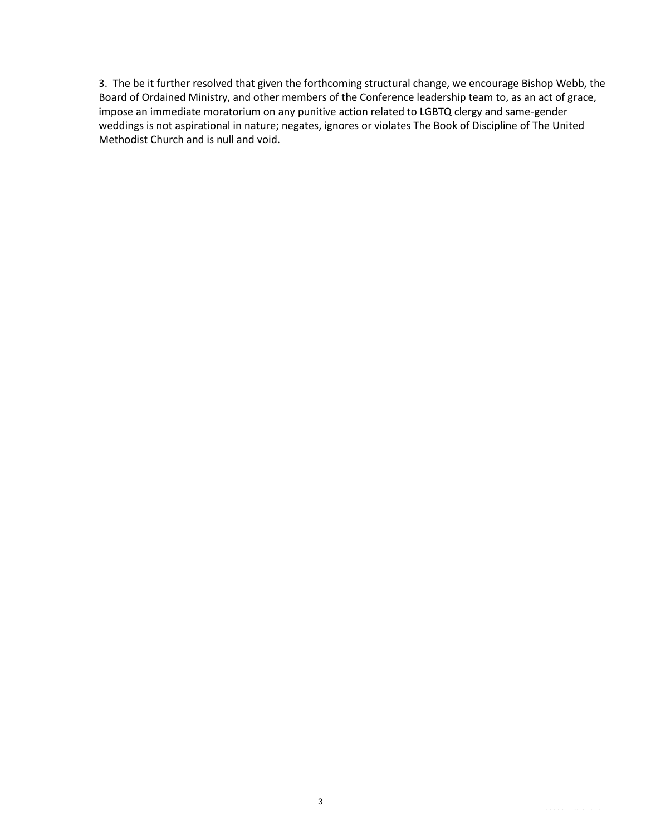3. The be it further resolved that given the forthcoming structural change, we encourage Bishop Webb, the Board of Ordained Ministry, and other members of the Conference leadership team to, as an act of grace, impose an immediate moratorium on any punitive action related to LGBTQ clergy and same-gender weddings is not aspirational in nature; negates, ignores or violates The Book of Discipline of The United Methodist Church and is null and void.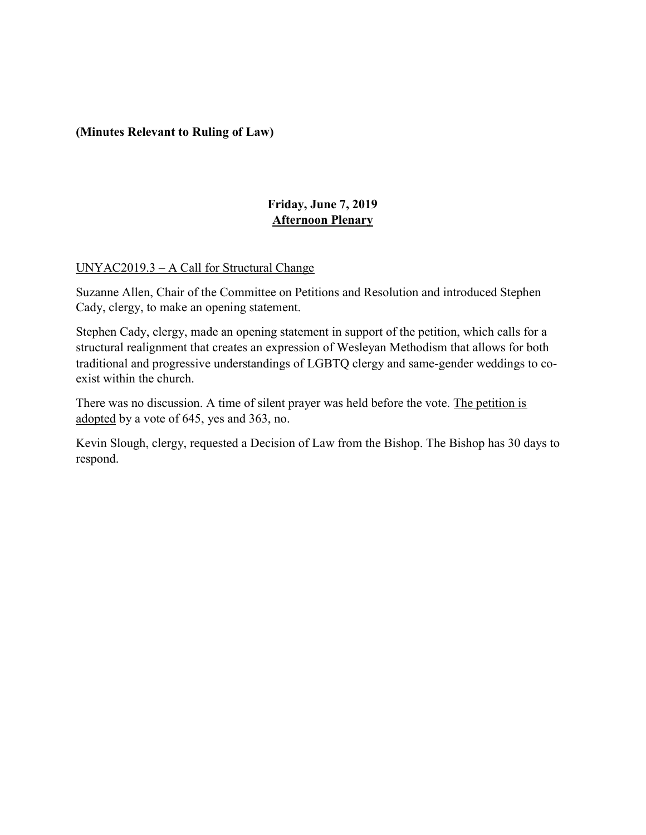### (Minutes Relevant to Ruling of Law)

## Friday, June 7, 2019 Afternoon Plenary

## UNYAC2019.3 – A Call for Structural Change

Suzanne Allen, Chair of the Committee on Petitions and Resolution and introduced Stephen Cady, clergy, to make an opening statement.

Stephen Cady, clergy, made an opening statement in support of the petition, which calls for a structural realignment that creates an expression of Wesleyan Methodism that allows for both traditional and progressive understandings of LGBTQ clergy and same-gender weddings to coexist within the church.

There was no discussion. A time of silent prayer was held before the vote. The petition is adopted by a vote of 645, yes and 363, no.

Kevin Slough, clergy, requested a Decision of Law from the Bishop. The Bishop has 30 days to respond.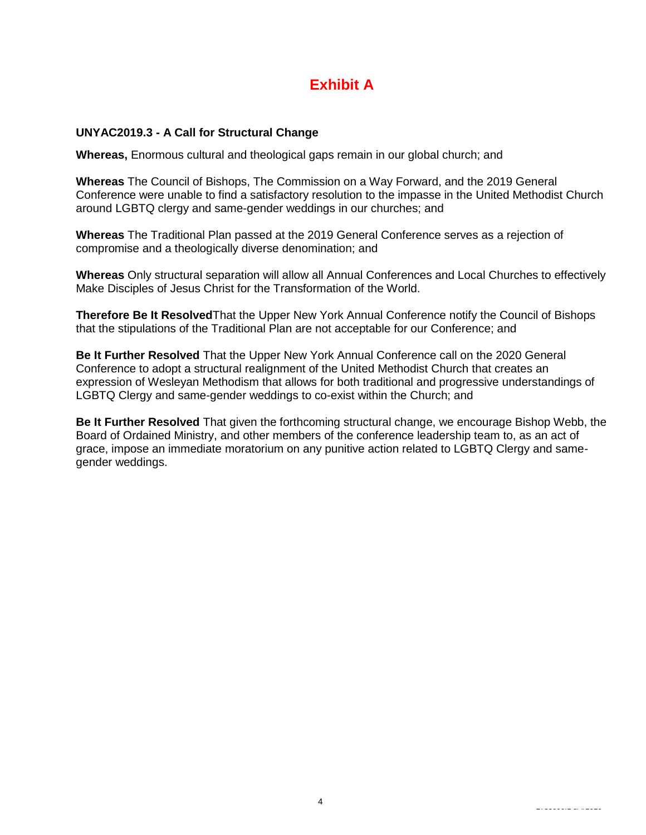# **Exhibit A**

#### **UNYAC2019.3 - A Call for Structural Change**

**Whereas,** Enormous cultural and theological gaps remain in our global church; and

**Whereas** The Council of Bishops, The Commission on a Way Forward, and the 2019 General Conference were unable to find a satisfactory resolution to the impasse in the United Methodist Church around LGBTQ clergy and same-gender weddings in our churches; and

**Whereas** The Traditional Plan passed at the 2019 General Conference serves as a rejection of compromise and a theologically diverse denomination; and

**Whereas** Only structural separation will allow all Annual Conferences and Local Churches to effectively Make Disciples of Jesus Christ for the Transformation of the World.

**Therefore Be It Resolved**That the Upper New York Annual Conference notify the Council of Bishops that the stipulations of the Traditional Plan are not acceptable for our Conference; and

**Be It Further Resolved** That the Upper New York Annual Conference call on the 2020 General Conference to adopt a structural realignment of the United Methodist Church that creates an expression of Wesleyan Methodism that allows for both traditional and progressive understandings of LGBTQ Clergy and same-gender weddings to co-exist within the Church; and

**Be It Further Resolved** That given the forthcoming structural change, we encourage Bishop Webb, the Board of Ordained Ministry, and other members of the conference leadership team to, as an act of grace, impose an immediate moratorium on any punitive action related to LGBTQ Clergy and samegender weddings.